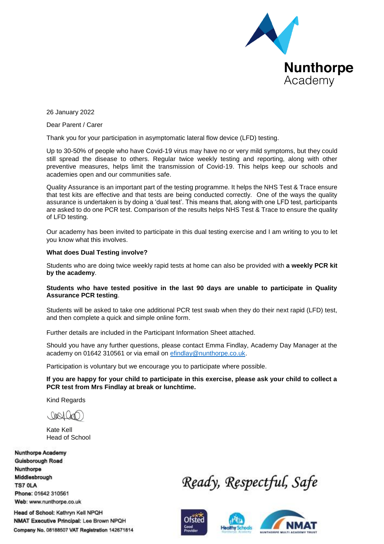

26 January 2022

Dear Parent / Carer

Thank you for your participation in asymptomatic lateral flow device (LFD) testing.

Up to 30-50% of people who have Covid-19 virus may have no or very mild symptoms, but they could still spread the disease to others. Regular twice weekly testing and reporting, along with other preventive measures, helps limit the transmission of Covid-19. This helps keep our schools and academies open and our communities safe.

Quality Assurance is an important part of the testing programme. It helps the NHS Test & Trace ensure that test kits are effective and that tests are being conducted correctly. One of the ways the quality assurance is undertaken is by doing a 'dual test'. This means that, along with one LFD test, participants are asked to do one PCR test. Comparison of the results helps NHS Test & Trace to ensure the quality of LFD testing.

Our academy has been invited to participate in this dual testing exercise and I am writing to you to let you know what this involves.

### **What does Dual Testing involve?**

Students who are doing twice weekly rapid tests at home can also be provided with **a weekly PCR kit by the academy**.

### **Students who have tested positive in the last 90 days are unable to participate in Quality Assurance PCR testing**.

Students will be asked to take one additional PCR test swab when they do their next rapid (LFD) test, and then complete a quick and simple online form.

Further details are included in the Participant Information Sheet attached.

Should you have any further questions, please contact Emma Findlay, Academy Day Manager at the academy on 01642 310561 or via email on [efindlay@nunthorpe.co.uk.](mailto:efindlay@nunthorpe.co.uk)

Participation is voluntary but we encourage you to participate where possible.

**If you are happy for your child to participate in this exercise, please ask your child to collect a PCR test from Mrs Findlay at break or lunchtime.**

Kind Regards

, Darch Cha

Kate Kell Head of School

**Nunthorpe Academy Guisborough Road** Nunthorpe Middlesbrough TS7 OLA Phone: 01642 310561 Web: www.nunthorpe.co.uk

Head of School: Kathryn Kell NPQH NMAT Executive Principal: Lee Brown NPQH Company No. 08188507 VAT Registration 142671814

Ready, Respectful, Safe